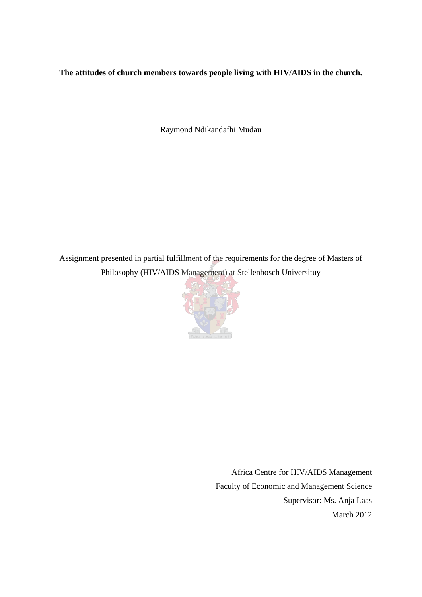## **The attitudes of church members towards people living with HIV/AIDS in the church.**

Raymond Ndikandafhi Mudau

Assignment presented in partial fulfillment of the requirements for the degree of Masters of Philosophy (HIV/AIDS Management) at Stellenbosch Universituy



Africa Centre for HIV/AIDS Management Faculty of Economic and Management Science Supervisor: Ms. Anja Laas March 2012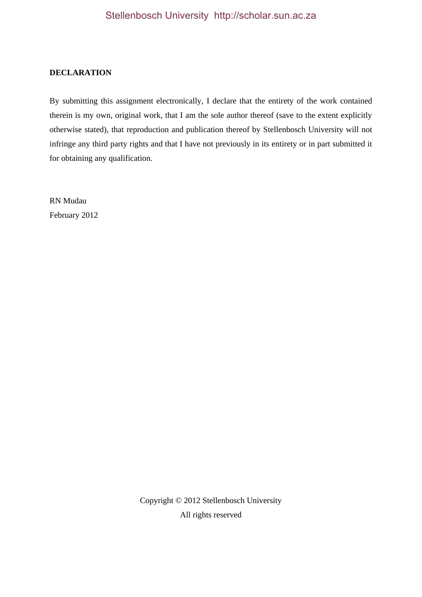#### **DECLARATION**

By submitting this assignment electronically, I declare that the entirety of the work contained therein is my own, original work, that I am the sole author thereof (save to the extent explicitly otherwise stated), that reproduction and publication thereof by Stellenbosch University will not infringe any third party rights and that I have not previously in its entirety or in part submitted it for obtaining any qualification.

RN Mudau February 2012

> Copyright © 2012 Stellenbosch University All rights reserved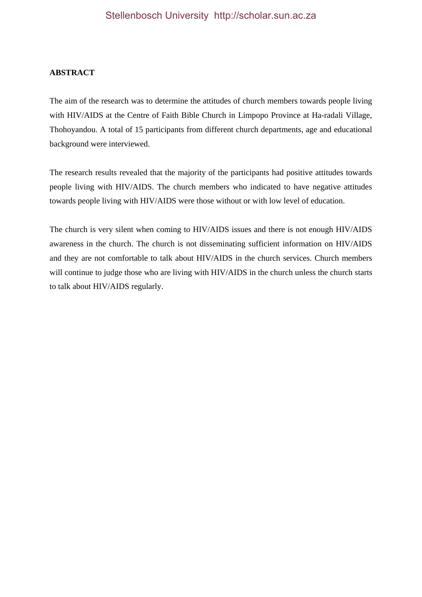#### **ABSTRACT**

The aim of the research was to determine the attitudes of church members towards people living with HIV/AIDS at the Centre of Faith Bible Church in Limpopo Province at Ha-radali Village, Thohoyandou. A total of 15 participants from different church departments, age and educational background were interviewed.

The research results revealed that the majority of the participants had positive attitudes towards people living with HIV/AIDS. The church members who indicated to have negative attitudes towards people living with HIV/AIDS were those without or with low level of education.

The church is very silent when coming to HIV/AIDS issues and there is not enough HIV/AIDS awareness in the church. The church is not disseminating sufficient information on HIV/AIDS and they are not comfortable to talk about HIV/AIDS in the church services. Church members will continue to judge those who are living with HIV/AIDS in the church unless the church starts to talk about HIV/AIDS regularly.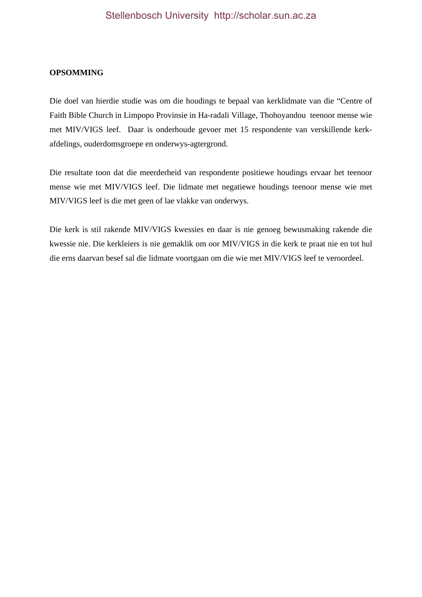#### **OPSOMMING**

Die doel van hierdie studie was om die houdings te bepaal van kerklidmate van die "Centre of Faith Bible Church in Limpopo Provinsie in Ha-radali Village, Thohoyandou teenoor mense wie met MIV/VIGS leef. Daar is onderhoude gevoer met 15 respondente van verskillende kerkafdelings, ouderdomsgroepe en onderwys-agtergrond.

Die resultate toon dat die meerderheid van respondente positiewe houdings ervaar het teenoor mense wie met MIV/VIGS leef. Die lidmate met negatiewe houdings teenoor mense wie met MIV/VIGS leef is die met geen of lae vlakke van onderwys.

Die kerk is stil rakende MIV/VIGS kwessies en daar is nie genoeg bewusmaking rakende die kwessie nie. Die kerkleiers is nie gemaklik om oor MIV/VIGS in die kerk te praat nie en tot hul die erns daarvan besef sal die lidmate voortgaan om die wie met MIV/VIGS leef te veroordeel.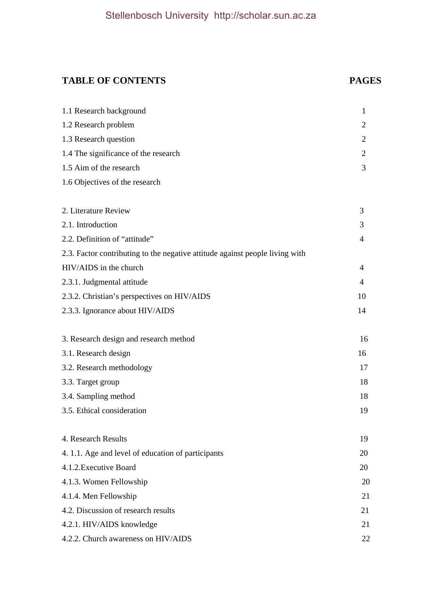## **TABLE OF CONTENTS PAGES**

| 1.1 Research background                                                      | $\mathbf{1}$   |
|------------------------------------------------------------------------------|----------------|
| 1.2 Research problem                                                         | 2              |
| 1.3 Research question                                                        | 2              |
| 1.4 The significance of the research                                         | 2              |
| 1.5 Aim of the research                                                      | 3              |
| 1.6 Objectives of the research                                               |                |
| 2. Literature Review                                                         | 3              |
| 2.1. Introduction                                                            | 3              |
| 2.2. Definition of "attitude"                                                | $\overline{4}$ |
| 2.3. Factor contributing to the negative attitude against people living with |                |
| HIV/AIDS in the church                                                       | $\overline{4}$ |
| 2.3.1. Judgmental attitude                                                   | $\overline{4}$ |
| 2.3.2. Christian's perspectives on HIV/AIDS                                  | 10             |
| 2.3.3. Ignorance about HIV/AIDS                                              | 14             |
| 3. Research design and research method                                       | 16             |
| 3.1. Research design                                                         | 16             |
| 3.2. Research methodology                                                    | 17             |
| 3.3. Target group                                                            | 18             |
| 3.4. Sampling method                                                         | 18             |
| 3.5. Ethical consideration                                                   | 19             |
| 4. Research Results                                                          | 19             |
| 4.1.1. Age and level of education of participants                            | 20             |
| 4.1.2. Executive Board                                                       | 20             |
| 4.1.3. Women Fellowship                                                      | 20             |
| 4.1.4. Men Fellowship                                                        | 21             |
| 4.2. Discussion of research results                                          | 21             |
| 4.2.1. HIV/AIDS knowledge                                                    | 21             |
| 4.2.2. Church awareness on HIV/AIDS                                          | 22             |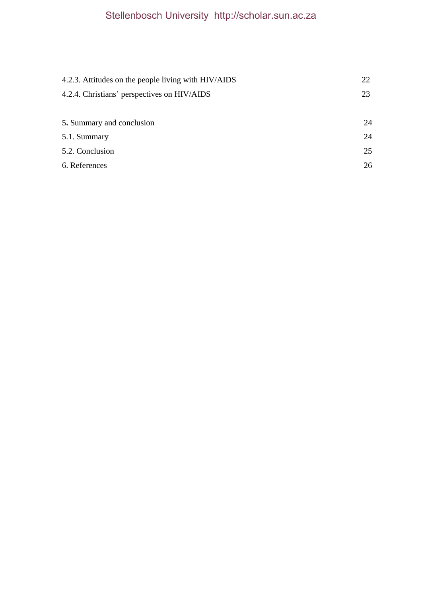| 4.2.3. Attitudes on the people living with HIV/AIDS | 22 |
|-----------------------------------------------------|----|
| 4.2.4. Christians' perspectives on HIV/AIDS         | 23 |
|                                                     |    |
| 5. Summary and conclusion                           | 24 |
| 5.1. Summary                                        | 24 |
| 5.2. Conclusion                                     | 25 |
| 6. References                                       | 26 |
|                                                     |    |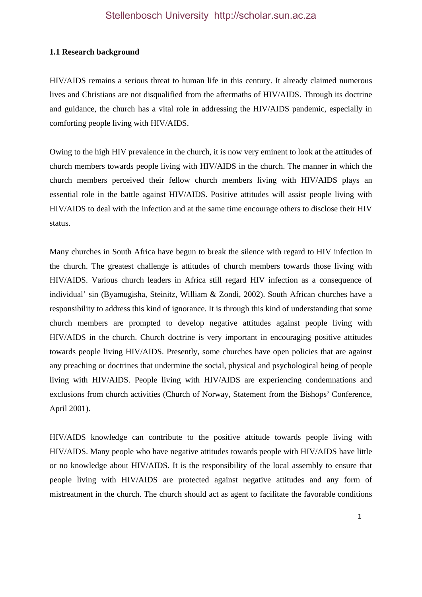#### **1.1 Research background**

HIV/AIDS remains a serious threat to human life in this century. It already claimed numerous lives and Christians are not disqualified from the aftermaths of HIV/AIDS. Through its doctrine and guidance, the church has a vital role in addressing the HIV/AIDS pandemic, especially in comforting people living with HIV/AIDS.

Owing to the high HIV prevalence in the church, it is now very eminent to look at the attitudes of church members towards people living with HIV/AIDS in the church. The manner in which the church members perceived their fellow church members living with HIV/AIDS plays an essential role in the battle against HIV/AIDS. Positive attitudes will assist people living with HIV/AIDS to deal with the infection and at the same time encourage others to disclose their HIV status.

Many churches in South Africa have begun to break the silence with regard to HIV infection in the church. The greatest challenge is attitudes of church members towards those living with HIV/AIDS. Various church leaders in Africa still regard HIV infection as a consequence of individual' sin (Byamugisha, Steinitz, William & Zondi, 2002). South African churches have a responsibility to address this kind of ignorance. It is through this kind of understanding that some church members are prompted to develop negative attitudes against people living with HIV/AIDS in the church. Church doctrine is very important in encouraging positive attitudes towards people living HIV/AIDS. Presently, some churches have open policies that are against any preaching or doctrines that undermine the social, physical and psychological being of people living with HIV/AIDS. People living with HIV/AIDS are experiencing condemnations and exclusions from church activities (Church of Norway, Statement from the Bishops' Conference, April 2001).

HIV/AIDS knowledge can contribute to the positive attitude towards people living with HIV/AIDS. Many people who have negative attitudes towards people with HIV/AIDS have little or no knowledge about HIV/AIDS. It is the responsibility of the local assembly to ensure that people living with HIV/AIDS are protected against negative attitudes and any form of mistreatment in the church. The church should act as agent to facilitate the favorable conditions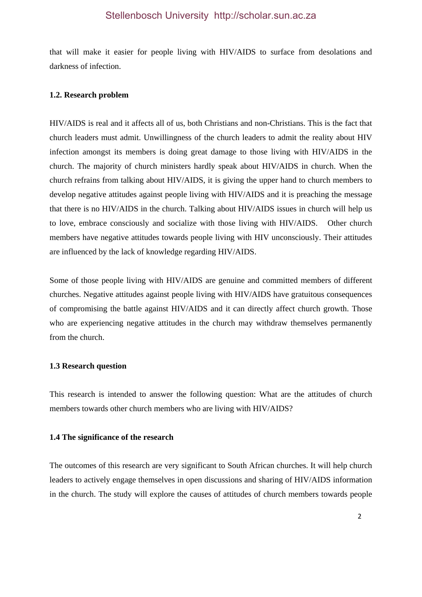that will make it easier for people living with HIV/AIDS to surface from desolations and darkness of infection.

#### **1.2. Research problem**

HIV/AIDS is real and it affects all of us, both Christians and non-Christians. This is the fact that church leaders must admit. Unwillingness of the church leaders to admit the reality about HIV infection amongst its members is doing great damage to those living with HIV/AIDS in the church. The majority of church ministers hardly speak about HIV/AIDS in church. When the church refrains from talking about HIV/AIDS, it is giving the upper hand to church members to develop negative attitudes against people living with HIV/AIDS and it is preaching the message that there is no HIV/AIDS in the church. Talking about HIV/AIDS issues in church will help us to love, embrace consciously and socialize with those living with HIV/AIDS. Other church members have negative attitudes towards people living with HIV unconsciously. Their attitudes are influenced by the lack of knowledge regarding HIV/AIDS.

Some of those people living with HIV/AIDS are genuine and committed members of different churches. Negative attitudes against people living with HIV/AIDS have gratuitous consequences of compromising the battle against HIV/AIDS and it can directly affect church growth. Those who are experiencing negative attitudes in the church may withdraw themselves permanently from the church.

#### **1.3 Research question**

This research is intended to answer the following question: What are the attitudes of church members towards other church members who are living with HIV/AIDS?

#### **1.4 The significance of the research**

The outcomes of this research are very significant to South African churches. It will help church leaders to actively engage themselves in open discussions and sharing of HIV/AIDS information in the church. The study will explore the causes of attitudes of church members towards people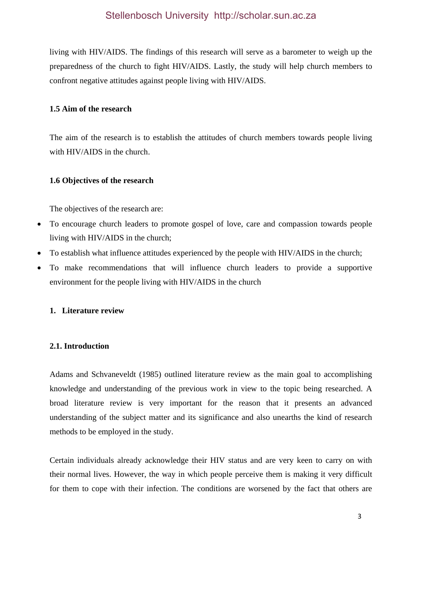living with HIV/AIDS. The findings of this research will serve as a barometer to weigh up the preparedness of the church to fight HIV/AIDS. Lastly, the study will help church members to confront negative attitudes against people living with HIV/AIDS.

#### **1.5 Aim of the research**

The aim of the research is to establish the attitudes of church members towards people living with HIV/AIDS in the church.

#### **1.6 Objectives of the research**

The objectives of the research are:

- To encourage church leaders to promote gospel of love, care and compassion towards people living with HIV/AIDS in the church;
- To establish what influence attitudes experienced by the people with HIV/AIDS in the church;
- To make recommendations that will influence church leaders to provide a supportive environment for the people living with HIV/AIDS in the church

#### **1. Literature review**

## **2.1. Introduction**

Adams and Schvaneveldt (1985) outlined literature review as the main goal to accomplishing knowledge and understanding of the previous work in view to the topic being researched. A broad literature review is very important for the reason that it presents an advanced understanding of the subject matter and its significance and also unearths the kind of research methods to be employed in the study.

Certain individuals already acknowledge their HIV status and are very keen to carry on with their normal lives. However, the way in which people perceive them is making it very difficult for them to cope with their infection. The conditions are worsened by the fact that others are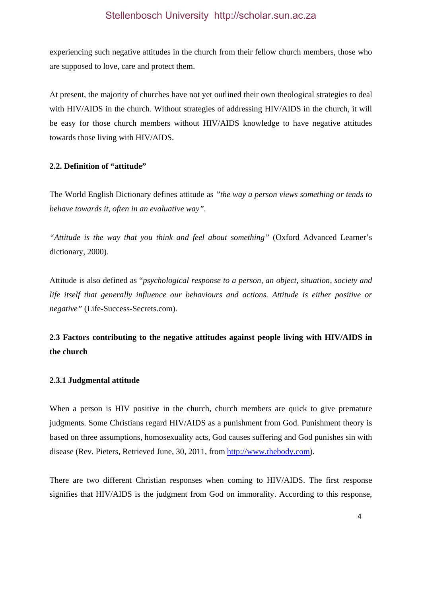experiencing such negative attitudes in the church from their fellow church members, those who are supposed to love, care and protect them.

At present, the majority of churches have not yet outlined their own theological strategies to deal with HIV/AIDS in the church. Without strategies of addressing HIV/AIDS in the church, it will be easy for those church members without HIV/AIDS knowledge to have negative attitudes towards those living with HIV/AIDS.

#### **2.2. Definition of "attitude"**

The World English Dictionary defines attitude as *"the way a person views something or tends to behave towards it, often in an evaluative way"*.

*"Attitude is the way that you think and feel about something"* (Oxford Advanced Learner's dictionary, 2000).

Attitude is also defined as "*psychological response to a person, an object, situation, society and life itself that generally influence our behaviours and actions. Attitude is either positive or negative"* (Life-Success-Secrets.com).

## **2.3 Factors contributing to the negative attitudes against people living with HIV/AIDS in the church**

## **2.3.1 Judgmental attitude**

When a person is HIV positive in the church, church members are quick to give premature judgments. Some Christians regard HIV/AIDS as a punishment from God. Punishment theory is based on three assumptions, homosexuality acts, God causes suffering and God punishes sin with disease (Rev. Pieters, Retrieved June, 30, 2011, from http://www.thebody.com).

There are two different Christian responses when coming to HIV/AIDS. The first response signifies that HIV/AIDS is the judgment from God on immorality. According to this response,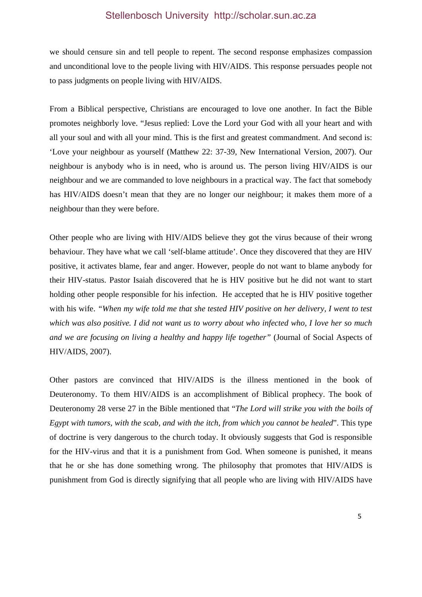we should censure sin and tell people to repent. The second response emphasizes compassion and unconditional love to the people living with HIV/AIDS. This response persuades people not to pass judgments on people living with HIV/AIDS.

From a Biblical perspective, Christians are encouraged to love one another. In fact the Bible promotes neighborly love. "Jesus replied: Love the Lord your God with all your heart and with all your soul and with all your mind. This is the first and greatest commandment. And second is: 'Love your neighbour as yourself (Matthew 22: 37-39, New International Version, 2007). Our neighbour is anybody who is in need, who is around us. The person living HIV/AIDS is our neighbour and we are commanded to love neighbours in a practical way. The fact that somebody has HIV/AIDS doesn't mean that they are no longer our neighbour; it makes them more of a neighbour than they were before.

Other people who are living with HIV/AIDS believe they got the virus because of their wrong behaviour. They have what we call 'self-blame attitude'. Once they discovered that they are HIV positive, it activates blame, fear and anger. However, people do not want to blame anybody for their HIV-status. Pastor Isaiah discovered that he is HIV positive but he did not want to start holding other people responsible for his infection. He accepted that he is HIV positive together with his wife. *"When my wife told me that she tested HIV positive on her delivery, I went to test which was also positive. I did not want us to worry about who infected who, I love her so much and we are focusing on living a healthy and happy life together"* (Journal of Social Aspects of HIV/AIDS, 2007).

Other pastors are convinced that HIV/AIDS is the illness mentioned in the book of Deuteronomy. To them HIV/AIDS is an accomplishment of Biblical prophecy. The book of Deuteronomy 28 verse 27 in the Bible mentioned that "*The Lord will strike you with the boils of Egypt with tumors, with the scab, and with the itch, from which you cannot be healed*". This type of doctrine is very dangerous to the church today. It obviously suggests that God is responsible for the HIV-virus and that it is a punishment from God. When someone is punished, it means that he or she has done something wrong. The philosophy that promotes that HIV/AIDS is punishment from God is directly signifying that all people who are living with HIV/AIDS have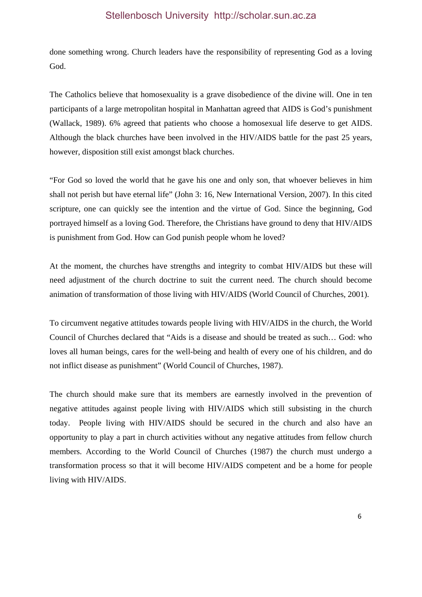done something wrong. Church leaders have the responsibility of representing God as a loving God.

The Catholics believe that homosexuality is a grave disobedience of the divine will. One in ten participants of a large metropolitan hospital in Manhattan agreed that AIDS is God's punishment (Wallack, 1989). 6% agreed that patients who choose a homosexual life deserve to get AIDS. Although the black churches have been involved in the HIV/AIDS battle for the past 25 years, however, disposition still exist amongst black churches.

"For God so loved the world that he gave his one and only son, that whoever believes in him shall not perish but have eternal life" (John 3: 16, New International Version, 2007). In this cited scripture, one can quickly see the intention and the virtue of God. Since the beginning, God portrayed himself as a loving God. Therefore, the Christians have ground to deny that HIV/AIDS is punishment from God. How can God punish people whom he loved?

At the moment, the churches have strengths and integrity to combat HIV/AIDS but these will need adjustment of the church doctrine to suit the current need. The church should become animation of transformation of those living with HIV/AIDS (World Council of Churches, 2001).

To circumvent negative attitudes towards people living with HIV/AIDS in the church, the World Council of Churches declared that "Aids is a disease and should be treated as such… God: who loves all human beings, cares for the well-being and health of every one of his children, and do not inflict disease as punishment" (World Council of Churches, 1987).

The church should make sure that its members are earnestly involved in the prevention of negative attitudes against people living with HIV/AIDS which still subsisting in the church today. People living with HIV/AIDS should be secured in the church and also have an opportunity to play a part in church activities without any negative attitudes from fellow church members. According to the World Council of Churches (1987) the church must undergo a transformation process so that it will become HIV/AIDS competent and be a home for people living with HIV/AIDS.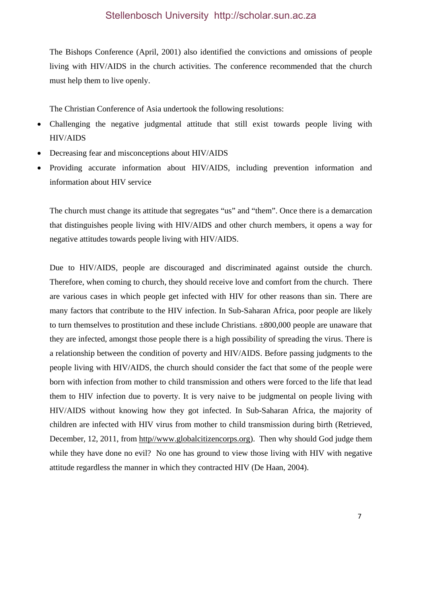The Bishops Conference (April, 2001) also identified the convictions and omissions of people living with HIV/AIDS in the church activities. The conference recommended that the church must help them to live openly.

The Christian Conference of Asia undertook the following resolutions:

- Challenging the negative judgmental attitude that still exist towards people living with HIV/AIDS
- Decreasing fear and misconceptions about HIV/AIDS
- Providing accurate information about HIV/AIDS, including prevention information and information about HIV service

The church must change its attitude that segregates "us" and "them". Once there is a demarcation that distinguishes people living with HIV/AIDS and other church members, it opens a way for negative attitudes towards people living with HIV/AIDS.

Due to HIV/AIDS, people are discouraged and discriminated against outside the church. Therefore, when coming to church, they should receive love and comfort from the church. There are various cases in which people get infected with HIV for other reasons than sin. There are many factors that contribute to the HIV infection. In Sub-Saharan Africa, poor people are likely to turn themselves to prostitution and these include Christians. ±800,000 people are unaware that they are infected, amongst those people there is a high possibility of spreading the virus. There is a relationship between the condition of poverty and HIV/AIDS. Before passing judgments to the people living with HIV/AIDS, the church should consider the fact that some of the people were born with infection from mother to child transmission and others were forced to the life that lead them to HIV infection due to poverty. It is very naive to be judgmental on people living with HIV/AIDS without knowing how they got infected. In Sub-Saharan Africa, the majority of children are infected with HIV virus from mother to child transmission during birth (Retrieved, December, 12, 2011, from http//www.globalcitizencorps.org). Then why should God judge them while they have done no evil? No one has ground to view those living with HIV with negative attitude regardless the manner in which they contracted HIV (De Haan, 2004).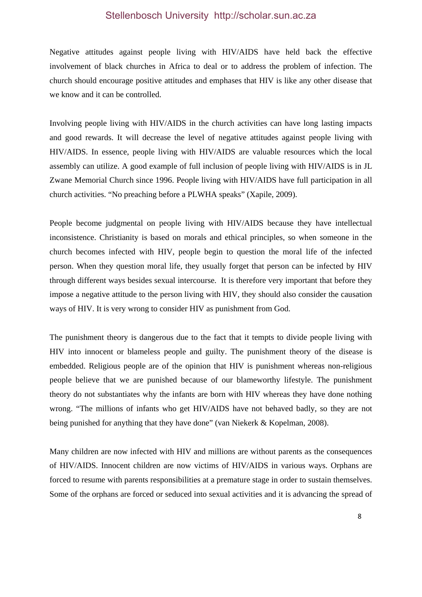Negative attitudes against people living with HIV/AIDS have held back the effective involvement of black churches in Africa to deal or to address the problem of infection. The church should encourage positive attitudes and emphases that HIV is like any other disease that we know and it can be controlled.

Involving people living with HIV/AIDS in the church activities can have long lasting impacts and good rewards. It will decrease the level of negative attitudes against people living with HIV/AIDS. In essence, people living with HIV/AIDS are valuable resources which the local assembly can utilize. A good example of full inclusion of people living with HIV/AIDS is in JL Zwane Memorial Church since 1996. People living with HIV/AIDS have full participation in all church activities. "No preaching before a PLWHA speaks" (Xapile, 2009).

People become judgmental on people living with HIV/AIDS because they have intellectual inconsistence. Christianity is based on morals and ethical principles, so when someone in the church becomes infected with HIV, people begin to question the moral life of the infected person. When they question moral life, they usually forget that person can be infected by HIV through different ways besides sexual intercourse. It is therefore very important that before they impose a negative attitude to the person living with HIV, they should also consider the causation ways of HIV. It is very wrong to consider HIV as punishment from God.

The punishment theory is dangerous due to the fact that it tempts to divide people living with HIV into innocent or blameless people and guilty. The punishment theory of the disease is embedded. Religious people are of the opinion that HIV is punishment whereas non-religious people believe that we are punished because of our blameworthy lifestyle. The punishment theory do not substantiates why the infants are born with HIV whereas they have done nothing wrong. "The millions of infants who get HIV/AIDS have not behaved badly, so they are not being punished for anything that they have done" (van Niekerk & Kopelman, 2008).

Many children are now infected with HIV and millions are without parents as the consequences of HIV/AIDS. Innocent children are now victims of HIV/AIDS in various ways. Orphans are forced to resume with parents responsibilities at a premature stage in order to sustain themselves. Some of the orphans are forced or seduced into sexual activities and it is advancing the spread of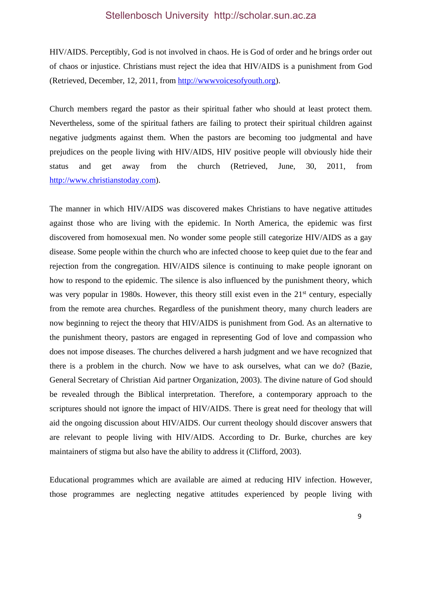HIV/AIDS. Perceptibly, God is not involved in chaos. He is God of order and he brings order out of chaos or injustice. Christians must reject the idea that HIV/AIDS is a punishment from God (Retrieved, December, 12, 2011, from http://wwwvoicesofyouth.org).

Church members regard the pastor as their spiritual father who should at least protect them. Nevertheless, some of the spiritual fathers are failing to protect their spiritual children against negative judgments against them. When the pastors are becoming too judgmental and have prejudices on the people living with HIV/AIDS, HIV positive people will obviously hide their status and get away from the church (Retrieved, June, 30, 2011, from http://www.christianstoday.com).

The manner in which HIV/AIDS was discovered makes Christians to have negative attitudes against those who are living with the epidemic. In North America, the epidemic was first discovered from homosexual men. No wonder some people still categorize HIV/AIDS as a gay disease. Some people within the church who are infected choose to keep quiet due to the fear and rejection from the congregation. HIV/AIDS silence is continuing to make people ignorant on how to respond to the epidemic. The silence is also influenced by the punishment theory, which was very popular in 1980s. However, this theory still exist even in the 21<sup>st</sup> century, especially from the remote area churches. Regardless of the punishment theory, many church leaders are now beginning to reject the theory that HIV/AIDS is punishment from God. As an alternative to the punishment theory, pastors are engaged in representing God of love and compassion who does not impose diseases. The churches delivered a harsh judgment and we have recognized that there is a problem in the church. Now we have to ask ourselves, what can we do? (Bazie, General Secretary of Christian Aid partner Organization, 2003). The divine nature of God should be revealed through the Biblical interpretation. Therefore, a contemporary approach to the scriptures should not ignore the impact of HIV/AIDS. There is great need for theology that will aid the ongoing discussion about HIV/AIDS. Our current theology should discover answers that are relevant to people living with HIV/AIDS. According to Dr. Burke, churches are key maintainers of stigma but also have the ability to address it (Clifford, 2003).

Educational programmes which are available are aimed at reducing HIV infection. However, those programmes are neglecting negative attitudes experienced by people living with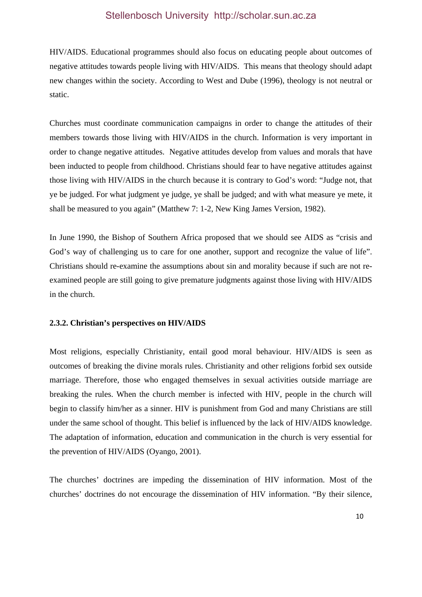HIV/AIDS. Educational programmes should also focus on educating people about outcomes of negative attitudes towards people living with HIV/AIDS. This means that theology should adapt new changes within the society. According to West and Dube (1996), theology is not neutral or static.

Churches must coordinate communication campaigns in order to change the attitudes of their members towards those living with HIV/AIDS in the church. Information is very important in order to change negative attitudes. Negative attitudes develop from values and morals that have been inducted to people from childhood. Christians should fear to have negative attitudes against those living with HIV/AIDS in the church because it is contrary to God's word: "Judge not, that ye be judged. For what judgment ye judge, ye shall be judged; and with what measure ye mete, it shall be measured to you again" (Matthew 7: 1-2, New King James Version, 1982).

In June 1990, the Bishop of Southern Africa proposed that we should see AIDS as "crisis and God's way of challenging us to care for one another, support and recognize the value of life". Christians should re-examine the assumptions about sin and morality because if such are not reexamined people are still going to give premature judgments against those living with HIV/AIDS in the church.

#### **2.3.2. Christian's perspectives on HIV/AIDS**

Most religions, especially Christianity, entail good moral behaviour. HIV/AIDS is seen as outcomes of breaking the divine morals rules. Christianity and other religions forbid sex outside marriage. Therefore, those who engaged themselves in sexual activities outside marriage are breaking the rules. When the church member is infected with HIV, people in the church will begin to classify him/her as a sinner. HIV is punishment from God and many Christians are still under the same school of thought. This belief is influenced by the lack of HIV/AIDS knowledge. The adaptation of information, education and communication in the church is very essential for the prevention of HIV/AIDS (Oyango, 2001).

The churches' doctrines are impeding the dissemination of HIV information. Most of the churches' doctrines do not encourage the dissemination of HIV information. "By their silence,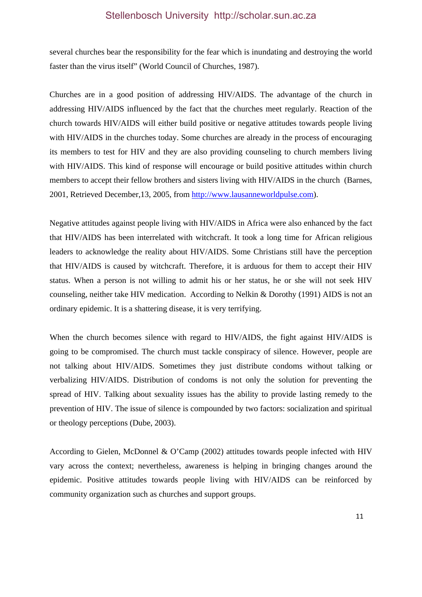several churches bear the responsibility for the fear which is inundating and destroying the world faster than the virus itself" (World Council of Churches, 1987).

Churches are in a good position of addressing HIV/AIDS. The advantage of the church in addressing HIV/AIDS influenced by the fact that the churches meet regularly. Reaction of the church towards HIV/AIDS will either build positive or negative attitudes towards people living with HIV/AIDS in the churches today. Some churches are already in the process of encouraging its members to test for HIV and they are also providing counseling to church members living with HIV/AIDS. This kind of response will encourage or build positive attitudes within church members to accept their fellow brothers and sisters living with HIV/AIDS in the church (Barnes, 2001, Retrieved December,13, 2005, from http://www.lausanneworldpulse.com).

Negative attitudes against people living with HIV/AIDS in Africa were also enhanced by the fact that HIV/AIDS has been interrelated with witchcraft. It took a long time for African religious leaders to acknowledge the reality about HIV/AIDS. Some Christians still have the perception that HIV/AIDS is caused by witchcraft. Therefore, it is arduous for them to accept their HIV status. When a person is not willing to admit his or her status, he or she will not seek HIV counseling, neither take HIV medication. According to Nelkin & Dorothy (1991) AIDS is not an ordinary epidemic. It is a shattering disease, it is very terrifying.

When the church becomes silence with regard to HIV/AIDS, the fight against HIV/AIDS is going to be compromised. The church must tackle conspiracy of silence. However, people are not talking about HIV/AIDS. Sometimes they just distribute condoms without talking or verbalizing HIV/AIDS. Distribution of condoms is not only the solution for preventing the spread of HIV. Talking about sexuality issues has the ability to provide lasting remedy to the prevention of HIV. The issue of silence is compounded by two factors: socialization and spiritual or theology perceptions (Dube, 2003).

According to Gielen, McDonnel & O'Camp (2002) attitudes towards people infected with HIV vary across the context; nevertheless, awareness is helping in bringing changes around the epidemic. Positive attitudes towards people living with HIV/AIDS can be reinforced by community organization such as churches and support groups.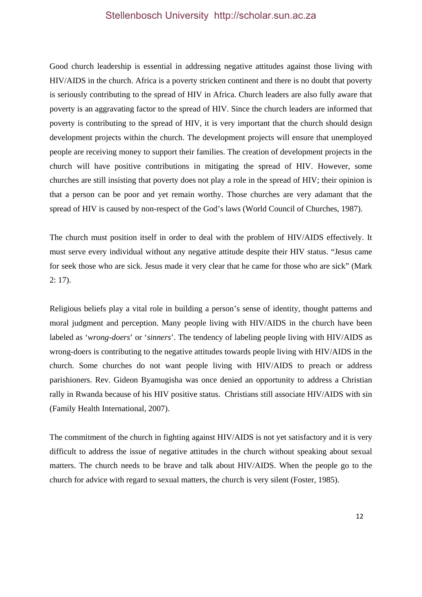Good church leadership is essential in addressing negative attitudes against those living with HIV/AIDS in the church. Africa is a poverty stricken continent and there is no doubt that poverty is seriously contributing to the spread of HIV in Africa. Church leaders are also fully aware that poverty is an aggravating factor to the spread of HIV. Since the church leaders are informed that poverty is contributing to the spread of HIV, it is very important that the church should design development projects within the church. The development projects will ensure that unemployed people are receiving money to support their families. The creation of development projects in the church will have positive contributions in mitigating the spread of HIV. However, some churches are still insisting that poverty does not play a role in the spread of HIV; their opinion is that a person can be poor and yet remain worthy. Those churches are very adamant that the spread of HIV is caused by non-respect of the God's laws (World Council of Churches, 1987).

The church must position itself in order to deal with the problem of HIV/AIDS effectively. It must serve every individual without any negative attitude despite their HIV status. "Jesus came for seek those who are sick. Jesus made it very clear that he came for those who are sick" (Mark 2: 17).

Religious beliefs play a vital role in building a person's sense of identity, thought patterns and moral judgment and perception. Many people living with HIV/AIDS in the church have been labeled as '*wrong-doers*' or '*sinners*'. The tendency of labeling people living with HIV/AIDS as wrong-doers is contributing to the negative attitudes towards people living with HIV/AIDS in the church. Some churches do not want people living with HIV/AIDS to preach or address parishioners. Rev. Gideon Byamugisha was once denied an opportunity to address a Christian rally in Rwanda because of his HIV positive status. Christians still associate HIV/AIDS with sin (Family Health International, 2007).

The commitment of the church in fighting against HIV/AIDS is not yet satisfactory and it is very difficult to address the issue of negative attitudes in the church without speaking about sexual matters. The church needs to be brave and talk about HIV/AIDS. When the people go to the church for advice with regard to sexual matters, the church is very silent (Foster, 1985).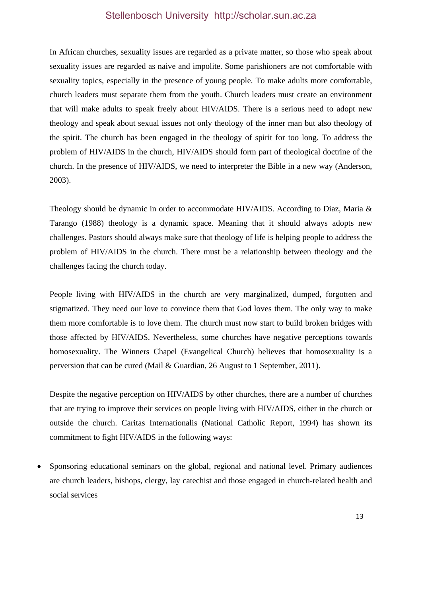In African churches, sexuality issues are regarded as a private matter, so those who speak about sexuality issues are regarded as naive and impolite. Some parishioners are not comfortable with sexuality topics, especially in the presence of young people. To make adults more comfortable, church leaders must separate them from the youth. Church leaders must create an environment that will make adults to speak freely about HIV/AIDS. There is a serious need to adopt new theology and speak about sexual issues not only theology of the inner man but also theology of the spirit. The church has been engaged in the theology of spirit for too long. To address the problem of HIV/AIDS in the church, HIV/AIDS should form part of theological doctrine of the church. In the presence of HIV/AIDS, we need to interpreter the Bible in a new way (Anderson, 2003).

Theology should be dynamic in order to accommodate HIV/AIDS. According to Diaz, Maria & Tarango (1988) theology is a dynamic space. Meaning that it should always adopts new challenges. Pastors should always make sure that theology of life is helping people to address the problem of HIV/AIDS in the church. There must be a relationship between theology and the challenges facing the church today.

People living with HIV/AIDS in the church are very marginalized, dumped, forgotten and stigmatized. They need our love to convince them that God loves them. The only way to make them more comfortable is to love them. The church must now start to build broken bridges with those affected by HIV/AIDS. Nevertheless, some churches have negative perceptions towards homosexuality. The Winners Chapel (Evangelical Church) believes that homosexuality is a perversion that can be cured (Mail & Guardian, 26 August to 1 September, 2011).

Despite the negative perception on HIV/AIDS by other churches, there are a number of churches that are trying to improve their services on people living with HIV/AIDS, either in the church or outside the church. Caritas Internationalis (National Catholic Report, 1994) has shown its commitment to fight HIV/AIDS in the following ways:

 Sponsoring educational seminars on the global, regional and national level. Primary audiences are church leaders, bishops, clergy, lay catechist and those engaged in church-related health and social services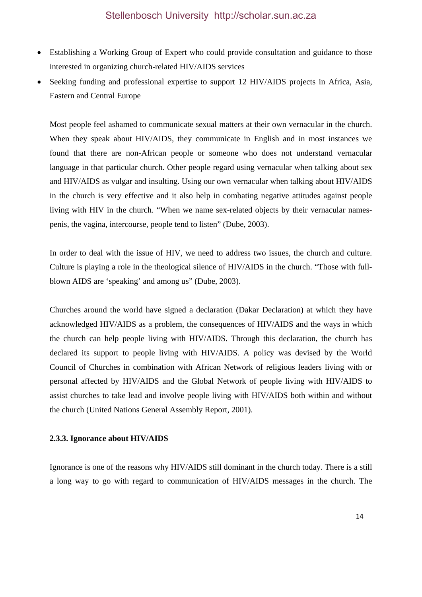- Establishing a Working Group of Expert who could provide consultation and guidance to those interested in organizing church-related HIV/AIDS services
- Seeking funding and professional expertise to support 12 HIV/AIDS projects in Africa, Asia, Eastern and Central Europe

Most people feel ashamed to communicate sexual matters at their own vernacular in the church. When they speak about HIV/AIDS, they communicate in English and in most instances we found that there are non-African people or someone who does not understand vernacular language in that particular church. Other people regard using vernacular when talking about sex and HIV/AIDS as vulgar and insulting. Using our own vernacular when talking about HIV/AIDS in the church is very effective and it also help in combating negative attitudes against people living with HIV in the church. "When we name sex-related objects by their vernacular namespenis, the vagina, intercourse, people tend to listen" (Dube, 2003).

In order to deal with the issue of HIV, we need to address two issues, the church and culture. Culture is playing a role in the theological silence of HIV/AIDS in the church. "Those with fullblown AIDS are 'speaking' and among us" (Dube, 2003).

Churches around the world have signed a declaration (Dakar Declaration) at which they have acknowledged HIV/AIDS as a problem, the consequences of HIV/AIDS and the ways in which the church can help people living with HIV/AIDS. Through this declaration, the church has declared its support to people living with HIV/AIDS. A policy was devised by the World Council of Churches in combination with African Network of religious leaders living with or personal affected by HIV/AIDS and the Global Network of people living with HIV/AIDS to assist churches to take lead and involve people living with HIV/AIDS both within and without the church (United Nations General Assembly Report, 2001).

## **2.3.3. Ignorance about HIV/AIDS**

Ignorance is one of the reasons why HIV/AIDS still dominant in the church today. There is a still a long way to go with regard to communication of HIV/AIDS messages in the church. The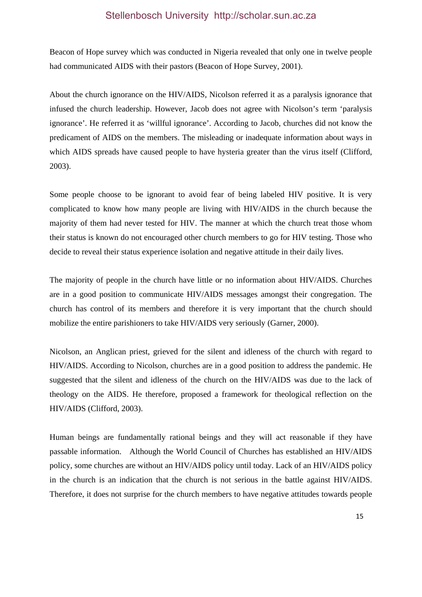Beacon of Hope survey which was conducted in Nigeria revealed that only one in twelve people had communicated AIDS with their pastors (Beacon of Hope Survey, 2001).

About the church ignorance on the HIV/AIDS, Nicolson referred it as a paralysis ignorance that infused the church leadership. However, Jacob does not agree with Nicolson's term 'paralysis ignorance'. He referred it as 'willful ignorance'. According to Jacob, churches did not know the predicament of AIDS on the members. The misleading or inadequate information about ways in which AIDS spreads have caused people to have hysteria greater than the virus itself (Clifford, 2003).

Some people choose to be ignorant to avoid fear of being labeled HIV positive. It is very complicated to know how many people are living with HIV/AIDS in the church because the majority of them had never tested for HIV. The manner at which the church treat those whom their status is known do not encouraged other church members to go for HIV testing. Those who decide to reveal their status experience isolation and negative attitude in their daily lives.

The majority of people in the church have little or no information about HIV/AIDS. Churches are in a good position to communicate HIV/AIDS messages amongst their congregation. The church has control of its members and therefore it is very important that the church should mobilize the entire parishioners to take HIV/AIDS very seriously (Garner, 2000).

Nicolson, an Anglican priest, grieved for the silent and idleness of the church with regard to HIV/AIDS. According to Nicolson, churches are in a good position to address the pandemic. He suggested that the silent and idleness of the church on the HIV/AIDS was due to the lack of theology on the AIDS. He therefore, proposed a framework for theological reflection on the HIV/AIDS (Clifford, 2003).

Human beings are fundamentally rational beings and they will act reasonable if they have passable information. Although the World Council of Churches has established an HIV/AIDS policy, some churches are without an HIV/AIDS policy until today. Lack of an HIV/AIDS policy in the church is an indication that the church is not serious in the battle against HIV/AIDS. Therefore, it does not surprise for the church members to have negative attitudes towards people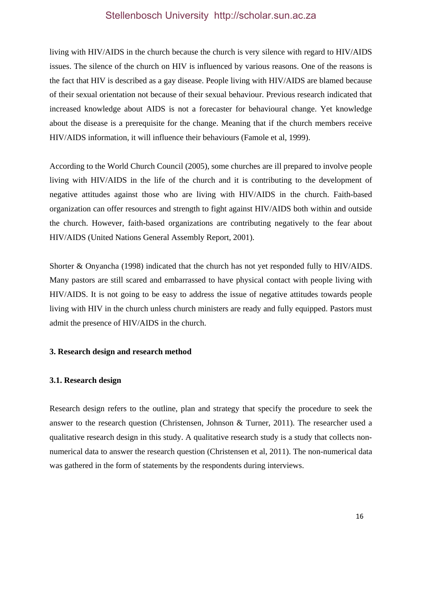living with HIV/AIDS in the church because the church is very silence with regard to HIV/AIDS issues. The silence of the church on HIV is influenced by various reasons. One of the reasons is the fact that HIV is described as a gay disease. People living with HIV/AIDS are blamed because of their sexual orientation not because of their sexual behaviour. Previous research indicated that increased knowledge about AIDS is not a forecaster for behavioural change. Yet knowledge about the disease is a prerequisite for the change. Meaning that if the church members receive HIV/AIDS information, it will influence their behaviours (Famole et al, 1999).

According to the World Church Council (2005), some churches are ill prepared to involve people living with HIV/AIDS in the life of the church and it is contributing to the development of negative attitudes against those who are living with HIV/AIDS in the church. Faith-based organization can offer resources and strength to fight against HIV/AIDS both within and outside the church. However, faith-based organizations are contributing negatively to the fear about HIV/AIDS (United Nations General Assembly Report, 2001).

Shorter & Onyancha (1998) indicated that the church has not yet responded fully to HIV/AIDS. Many pastors are still scared and embarrassed to have physical contact with people living with HIV/AIDS. It is not going to be easy to address the issue of negative attitudes towards people living with HIV in the church unless church ministers are ready and fully equipped. Pastors must admit the presence of HIV/AIDS in the church.

#### **3. Research design and research method**

#### **3.1. Research design**

Research design refers to the outline, plan and strategy that specify the procedure to seek the answer to the research question (Christensen, Johnson & Turner, 2011). The researcher used a qualitative research design in this study. A qualitative research study is a study that collects nonnumerical data to answer the research question (Christensen et al, 2011). The non-numerical data was gathered in the form of statements by the respondents during interviews.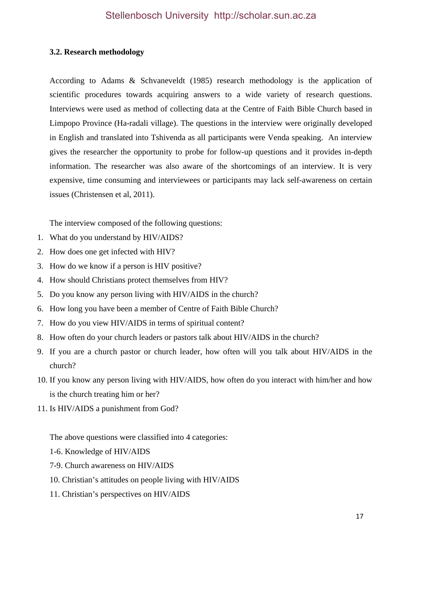## **3.2. Research methodology**

According to Adams & Schvaneveldt (1985) research methodology is the application of scientific procedures towards acquiring answers to a wide variety of research questions. Interviews were used as method of collecting data at the Centre of Faith Bible Church based in Limpopo Province (Ha-radali village). The questions in the interview were originally developed in English and translated into Tshivenda as all participants were Venda speaking. An interview gives the researcher the opportunity to probe for follow-up questions and it provides in-depth information. The researcher was also aware of the shortcomings of an interview. It is very expensive, time consuming and interviewees or participants may lack self-awareness on certain issues (Christensen et al, 2011).

The interview composed of the following questions:

- 1. What do you understand by HIV/AIDS?
- 2. How does one get infected with HIV?
- 3. How do we know if a person is HIV positive?
- 4. How should Christians protect themselves from HIV?
- 5. Do you know any person living with HIV/AIDS in the church?
- 6. How long you have been a member of Centre of Faith Bible Church?
- 7. How do you view HIV/AIDS in terms of spiritual content?
- 8. How often do your church leaders or pastors talk about HIV/AIDS in the church?
- 9. If you are a church pastor or church leader, how often will you talk about HIV/AIDS in the church?
- 10. If you know any person living with HIV/AIDS, how often do you interact with him/her and how is the church treating him or her?
- 11. Is HIV/AIDS a punishment from God?

The above questions were classified into 4 categories:

- 1-6. Knowledge of HIV/AIDS
- 7-9. Church awareness on HIV/AIDS
- 10. Christian's attitudes on people living with HIV/AIDS
- 11. Christian's perspectives on HIV/AIDS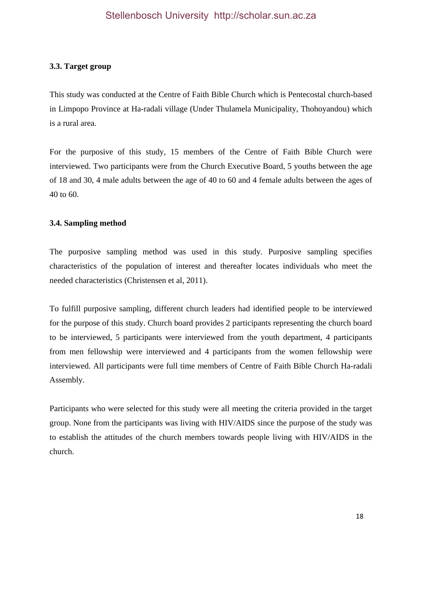## **3.3. Target group**

This study was conducted at the Centre of Faith Bible Church which is Pentecostal church-based in Limpopo Province at Ha-radali village (Under Thulamela Municipality, Thohoyandou) which is a rural area.

For the purposive of this study, 15 members of the Centre of Faith Bible Church were interviewed. Two participants were from the Church Executive Board, 5 youths between the age of 18 and 30, 4 male adults between the age of 40 to 60 and 4 female adults between the ages of 40 to 60.

## **3.4. Sampling method**

The purposive sampling method was used in this study. Purposive sampling specifies characteristics of the population of interest and thereafter locates individuals who meet the needed characteristics (Christensen et al, 2011).

To fulfill purposive sampling, different church leaders had identified people to be interviewed for the purpose of this study. Church board provides 2 participants representing the church board to be interviewed, 5 participants were interviewed from the youth department, 4 participants from men fellowship were interviewed and 4 participants from the women fellowship were interviewed. All participants were full time members of Centre of Faith Bible Church Ha-radali Assembly.

Participants who were selected for this study were all meeting the criteria provided in the target group. None from the participants was living with HIV/AIDS since the purpose of the study was to establish the attitudes of the church members towards people living with HIV/AIDS in the church.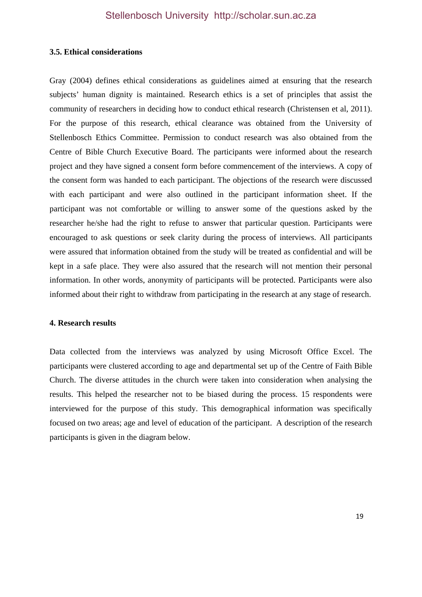#### **3.5. Ethical considerations**

Gray (2004) defines ethical considerations as guidelines aimed at ensuring that the research subjects' human dignity is maintained. Research ethics is a set of principles that assist the community of researchers in deciding how to conduct ethical research (Christensen et al, 2011). For the purpose of this research, ethical clearance was obtained from the University of Stellenbosch Ethics Committee. Permission to conduct research was also obtained from the Centre of Bible Church Executive Board. The participants were informed about the research project and they have signed a consent form before commencement of the interviews. A copy of the consent form was handed to each participant. The objections of the research were discussed with each participant and were also outlined in the participant information sheet. If the participant was not comfortable or willing to answer some of the questions asked by the researcher he/she had the right to refuse to answer that particular question. Participants were encouraged to ask questions or seek clarity during the process of interviews. All participants were assured that information obtained from the study will be treated as confidential and will be kept in a safe place. They were also assured that the research will not mention their personal information. In other words, anonymity of participants will be protected. Participants were also informed about their right to withdraw from participating in the research at any stage of research.

#### **4. Research results**

Data collected from the interviews was analyzed by using Microsoft Office Excel. The participants were clustered according to age and departmental set up of the Centre of Faith Bible Church. The diverse attitudes in the church were taken into consideration when analysing the results. This helped the researcher not to be biased during the process. 15 respondents were interviewed for the purpose of this study. This demographical information was specifically focused on two areas; age and level of education of the participant. A description of the research participants is given in the diagram below.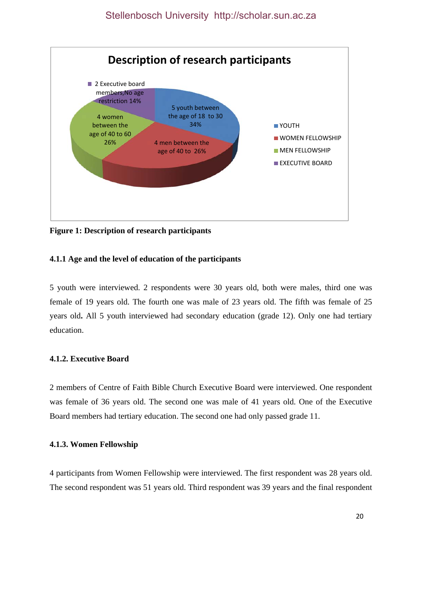

**Figure 1: Description of research participants** 

## **4.1.1 Age and the level of education of the participants**

5 youth were interviewed. 2 respondents were 30 years old, both were males, third one was female of 19 years old. The fourth one was male of 23 years old. The fifth was female of 25 years old**.** All 5 youth interviewed had secondary education (grade 12). Only one had tertiary education.

## **4.1.2. Executive Board**

2 members of Centre of Faith Bible Church Executive Board were interviewed. One respondent was female of 36 years old. The second one was male of 41 years old. One of the Executive Board members had tertiary education. The second one had only passed grade 11.

#### **4.1.3. Women Fellowship**

4 participants from Women Fellowship were interviewed. The first respondent was 28 years old. The second respondent was 51 years old. Third respondent was 39 years and the final respondent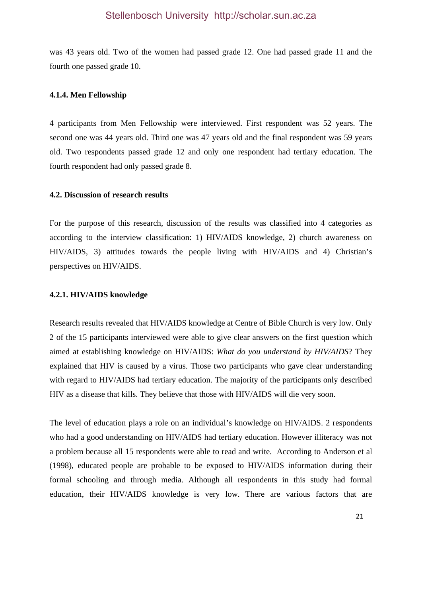was 43 years old. Two of the women had passed grade 12. One had passed grade 11 and the fourth one passed grade 10.

#### **4.1.4. Men Fellowship**

4 participants from Men Fellowship were interviewed. First respondent was 52 years. The second one was 44 years old. Third one was 47 years old and the final respondent was 59 years old. Two respondents passed grade 12 and only one respondent had tertiary education. The fourth respondent had only passed grade 8.

#### **4.2. Discussion of research results**

For the purpose of this research, discussion of the results was classified into 4 categories as according to the interview classification: 1) HIV/AIDS knowledge, 2) church awareness on HIV/AIDS, 3) attitudes towards the people living with HIV/AIDS and 4) Christian's perspectives on HIV/AIDS.

#### **4.2.1. HIV/AIDS knowledge**

Research results revealed that HIV/AIDS knowledge at Centre of Bible Church is very low. Only 2 of the 15 participants interviewed were able to give clear answers on the first question which aimed at establishing knowledge on HIV/AIDS: *What do you understand by HIV/AIDS*? They explained that HIV is caused by a virus. Those two participants who gave clear understanding with regard to HIV/AIDS had tertiary education. The majority of the participants only described HIV as a disease that kills. They believe that those with HIV/AIDS will die very soon.

The level of education plays a role on an individual's knowledge on HIV/AIDS. 2 respondents who had a good understanding on HIV/AIDS had tertiary education. However illiteracy was not a problem because all 15 respondents were able to read and write. According to Anderson et al (1998), educated people are probable to be exposed to HIV/AIDS information during their formal schooling and through media. Although all respondents in this study had formal education, their HIV/AIDS knowledge is very low. There are various factors that are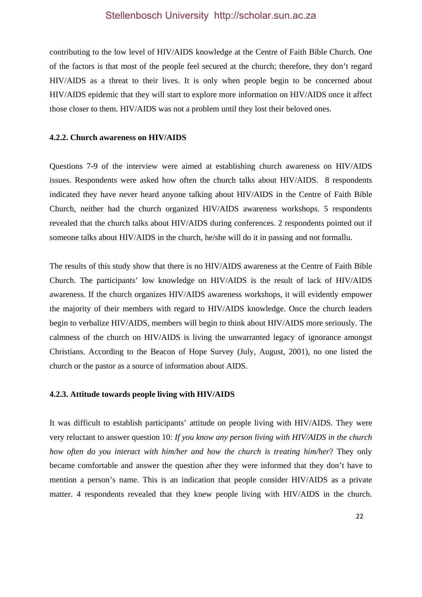contributing to the low level of HIV/AIDS knowledge at the Centre of Faith Bible Church. One of the factors is that most of the people feel secured at the church; therefore, they don't regard HIV/AIDS as a threat to their lives. It is only when people begin to be concerned about HIV/AIDS epidemic that they will start to explore more information on HIV/AIDS once it affect those closer to them. HIV/AIDS was not a problem until they lost their beloved ones.

#### **4.2.2. Church awareness on HIV/AIDS**

Questions 7-9 of the interview were aimed at establishing church awareness on HIV/AIDS issues. Respondents were asked how often the church talks about HIV/AIDS. 8 respondents indicated they have never heard anyone talking about HIV/AIDS in the Centre of Faith Bible Church, neither had the church organized HIV/AIDS awareness workshops. 5 respondents revealed that the church talks about HIV/AIDS during conferences. 2 respondents pointed out if someone talks about HIV/AIDS in the church, he/she will do it in passing and not formallu.

The results of this study show that there is no HIV/AIDS awareness at the Centre of Faith Bible Church. The participants' low knowledge on HIV/AIDS is the result of lack of HIV/AIDS awareness. If the church organizes HIV/AIDS awareness workshops, it will evidently empower the majority of their members with regard to HIV/AIDS knowledge. Once the church leaders begin to verbalize HIV/AIDS, members will begin to think about HIV/AIDS more seriously. The calmness of the church on HIV/AIDS is living the unwarranted legacy of ignorance amongst Christians. According to the Beacon of Hope Survey (July, August, 2001), no one listed the church or the pastor as a source of information about AIDS.

#### **4.2.3. Attitude towards people living with HIV/AIDS**

It was difficult to establish participants' attitude on people living with HIV/AIDS. They were very reluctant to answer question 10: *If you know any person living with HIV/AIDS in the church how often do you interact with him/her and how the church is treating him/her*? They only became comfortable and answer the question after they were informed that they don't have to mention a person's name. This is an indication that people consider HIV/AIDS as a private matter. 4 respondents revealed that they knew people living with HIV/AIDS in the church.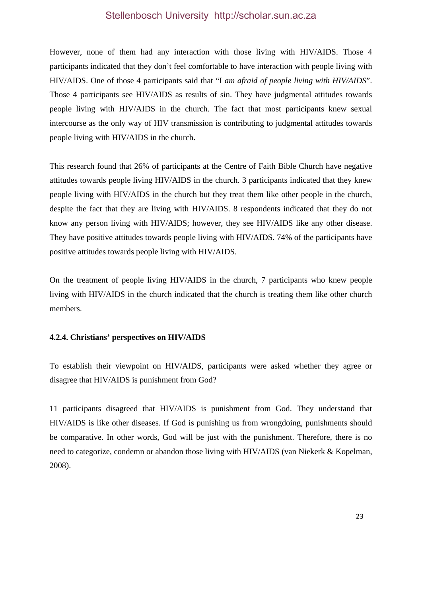However, none of them had any interaction with those living with HIV/AIDS. Those 4 participants indicated that they don't feel comfortable to have interaction with people living with HIV/AIDS. One of those 4 participants said that "I *am afraid of people living with HIV/AIDS*". Those 4 participants see HIV/AIDS as results of sin. They have judgmental attitudes towards people living with HIV/AIDS in the church. The fact that most participants knew sexual intercourse as the only way of HIV transmission is contributing to judgmental attitudes towards people living with HIV/AIDS in the church.

This research found that 26% of participants at the Centre of Faith Bible Church have negative attitudes towards people living HIV/AIDS in the church. 3 participants indicated that they knew people living with HIV/AIDS in the church but they treat them like other people in the church, despite the fact that they are living with HIV/AIDS. 8 respondents indicated that they do not know any person living with HIV/AIDS; however, they see HIV/AIDS like any other disease. They have positive attitudes towards people living with HIV/AIDS. 74% of the participants have positive attitudes towards people living with HIV/AIDS.

On the treatment of people living HIV/AIDS in the church, 7 participants who knew people living with HIV/AIDS in the church indicated that the church is treating them like other church members.

## **4.2.4. Christians' perspectives on HIV/AIDS**

To establish their viewpoint on HIV/AIDS, participants were asked whether they agree or disagree that HIV/AIDS is punishment from God?

11 participants disagreed that HIV/AIDS is punishment from God. They understand that HIV/AIDS is like other diseases. If God is punishing us from wrongdoing, punishments should be comparative. In other words, God will be just with the punishment. Therefore, there is no need to categorize, condemn or abandon those living with HIV/AIDS (van Niekerk & Kopelman, 2008).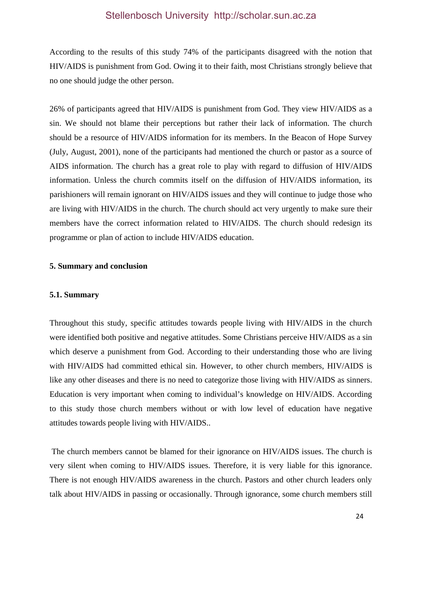According to the results of this study 74% of the participants disagreed with the notion that HIV/AIDS is punishment from God. Owing it to their faith, most Christians strongly believe that no one should judge the other person.

26% of participants agreed that HIV/AIDS is punishment from God. They view HIV/AIDS as a sin. We should not blame their perceptions but rather their lack of information. The church should be a resource of HIV/AIDS information for its members. In the Beacon of Hope Survey (July, August, 2001), none of the participants had mentioned the church or pastor as a source of AIDS information. The church has a great role to play with regard to diffusion of HIV/AIDS information. Unless the church commits itself on the diffusion of HIV/AIDS information, its parishioners will remain ignorant on HIV/AIDS issues and they will continue to judge those who are living with HIV/AIDS in the church. The church should act very urgently to make sure their members have the correct information related to HIV/AIDS. The church should redesign its programme or plan of action to include HIV/AIDS education.

#### **5. Summary and conclusion**

#### **5.1. Summary**

Throughout this study, specific attitudes towards people living with HIV/AIDS in the church were identified both positive and negative attitudes. Some Christians perceive HIV/AIDS as a sin which deserve a punishment from God. According to their understanding those who are living with HIV/AIDS had committed ethical sin. However, to other church members, HIV/AIDS is like any other diseases and there is no need to categorize those living with HIV/AIDS as sinners. Education is very important when coming to individual's knowledge on HIV/AIDS. According to this study those church members without or with low level of education have negative attitudes towards people living with HIV/AIDS..

 The church members cannot be blamed for their ignorance on HIV/AIDS issues. The church is very silent when coming to HIV/AIDS issues. Therefore, it is very liable for this ignorance. There is not enough HIV/AIDS awareness in the church. Pastors and other church leaders only talk about HIV/AIDS in passing or occasionally. Through ignorance, some church members still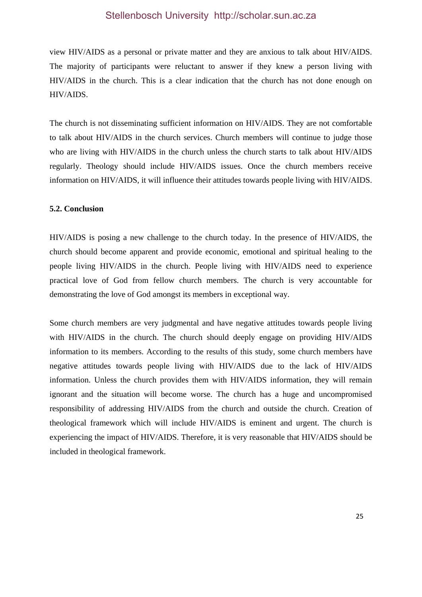view HIV/AIDS as a personal or private matter and they are anxious to talk about HIV/AIDS. The majority of participants were reluctant to answer if they knew a person living with HIV/AIDS in the church. This is a clear indication that the church has not done enough on HIV/AIDS.

The church is not disseminating sufficient information on HIV/AIDS. They are not comfortable to talk about HIV/AIDS in the church services. Church members will continue to judge those who are living with HIV/AIDS in the church unless the church starts to talk about HIV/AIDS regularly. Theology should include HIV/AIDS issues. Once the church members receive information on HIV/AIDS, it will influence their attitudes towards people living with HIV/AIDS.

#### **5.2. Conclusion**

HIV/AIDS is posing a new challenge to the church today. In the presence of HIV/AIDS, the church should become apparent and provide economic, emotional and spiritual healing to the people living HIV/AIDS in the church. People living with HIV/AIDS need to experience practical love of God from fellow church members. The church is very accountable for demonstrating the love of God amongst its members in exceptional way.

Some church members are very judgmental and have negative attitudes towards people living with HIV/AIDS in the church. The church should deeply engage on providing HIV/AIDS information to its members. According to the results of this study, some church members have negative attitudes towards people living with HIV/AIDS due to the lack of HIV/AIDS information. Unless the church provides them with HIV/AIDS information, they will remain ignorant and the situation will become worse. The church has a huge and uncompromised responsibility of addressing HIV/AIDS from the church and outside the church. Creation of theological framework which will include HIV/AIDS is eminent and urgent. The church is experiencing the impact of HIV/AIDS. Therefore, it is very reasonable that HIV/AIDS should be included in theological framework.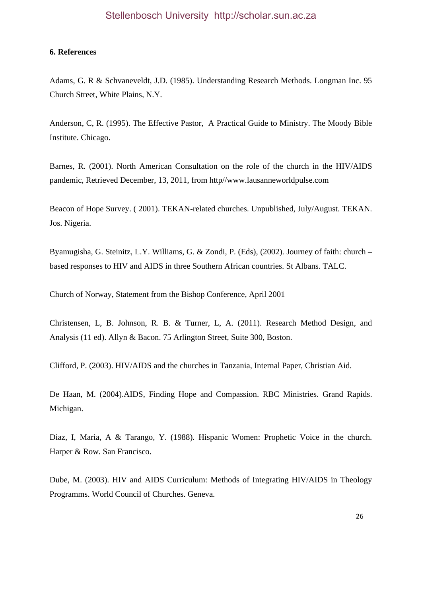#### **6. References**

Adams, G. R & Schvaneveldt, J.D. (1985). Understanding Research Methods. Longman Inc. 95 Church Street, White Plains, N.Y.

Anderson, C, R. (1995). The Effective Pastor, A Practical Guide to Ministry. The Moody Bible Institute. Chicago.

Barnes, R. (2001). North American Consultation on the role of the church in the HIV/AIDS pandemic, Retrieved December, 13, 2011, from http//www.lausanneworldpulse.com

Beacon of Hope Survey. ( 2001). TEKAN-related churches. Unpublished, July/August. TEKAN. Jos. Nigeria.

Byamugisha, G. Steinitz, L.Y. Williams, G. & Zondi, P. (Eds), (2002). Journey of faith: church – based responses to HIV and AIDS in three Southern African countries. St Albans. TALC.

Church of Norway, Statement from the Bishop Conference, April 2001

Christensen, L, B. Johnson, R. B. & Turner, L, A. (2011). Research Method Design, and Analysis (11 ed). Allyn & Bacon. 75 Arlington Street, Suite 300, Boston.

Clifford, P. (2003). HIV/AIDS and the churches in Tanzania, Internal Paper, Christian Aid.

De Haan, M. (2004).AIDS, Finding Hope and Compassion. RBC Ministries. Grand Rapids. Michigan.

Diaz, I, Maria, A & Tarango, Y. (1988). Hispanic Women: Prophetic Voice in the church. Harper & Row. San Francisco.

Dube, M. (2003). HIV and AIDS Curriculum: Methods of Integrating HIV/AIDS in Theology Programms. World Council of Churches. Geneva.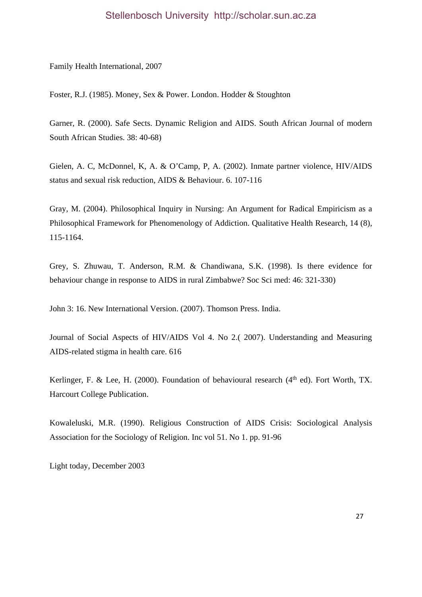Family Health International, 2007

Foster, R.J. (1985). Money, Sex & Power. London. Hodder & Stoughton

Garner, R. (2000). Safe Sects. Dynamic Religion and AIDS. South African Journal of modern South African Studies. 38: 40-68)

Gielen, A. C, McDonnel, K, A. & O'Camp, P, A. (2002). Inmate partner violence, HIV/AIDS status and sexual risk reduction, AIDS & Behaviour. 6. 107-116

Gray, M. (2004). Philosophical Inquiry in Nursing: An Argument for Radical Empiricism as a Philosophical Framework for Phenomenology of Addiction. Qualitative Health Research, 14 (8), 115-1164.

Grey, S. Zhuwau, T. Anderson, R.M. & Chandiwana, S.K. (1998). Is there evidence for behaviour change in response to AIDS in rural Zimbabwe? Soc Sci med: 46: 321-330)

John 3: 16. New International Version. (2007). Thomson Press. India.

Journal of Social Aspects of HIV/AIDS Vol 4. No 2.( 2007). Understanding and Measuring AIDS-related stigma in health care. 616

Kerlinger, F. & Lee, H. (2000). Foundation of behavioural research ( $4<sup>th</sup>$  ed). Fort Worth, TX. Harcourt College Publication.

Kowaleluski, M.R. (1990). Religious Construction of AIDS Crisis: Sociological Analysis Association for the Sociology of Religion. Inc vol 51. No 1. pp. 91-96

Light today, December 2003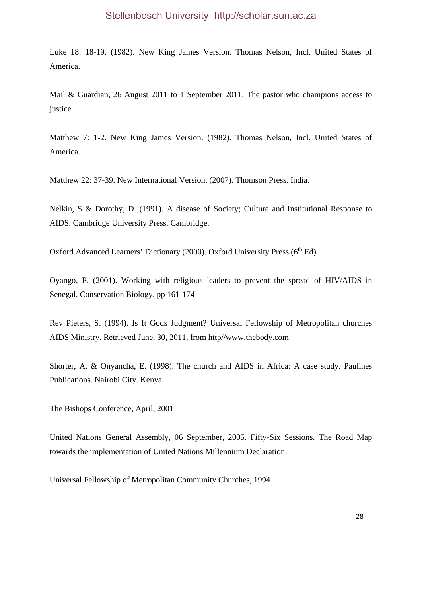Luke 18: 18-19. (1982). New King James Version. Thomas Nelson, Incl. United States of America.

Mail & Guardian, 26 August 2011 to 1 September 2011. The pastor who champions access to justice.

Matthew 7: 1-2. New King James Version. (1982). Thomas Nelson, Incl. United States of America.

Matthew 22: 37-39. New International Version. (2007). Thomson Press. India.

Nelkin, S & Dorothy, D. (1991). A disease of Society; Culture and Institutional Response to AIDS. Cambridge University Press. Cambridge.

Oxford Advanced Learners' Dictionary (2000). Oxford University Press (6<sup>th</sup> Ed)

Oyango, P. (2001). Working with religious leaders to prevent the spread of HIV/AIDS in Senegal. Conservation Biology. pp 161-174

Rev Pieters, S. (1994). Is It Gods Judgment? Universal Fellowship of Metropolitan churches AIDS Ministry. Retrieved June, 30, 2011, from http//www.thebody.com

Shorter, A. & Onyancha, E. (1998). The church and AIDS in Africa: A case study. Paulines Publications. Nairobi City. Kenya

The Bishops Conference, April, 2001

United Nations General Assembly, 06 September, 2005. Fifty-Six Sessions. The Road Map towards the implementation of United Nations Millennium Declaration.

Universal Fellowship of Metropolitan Community Churches, 1994